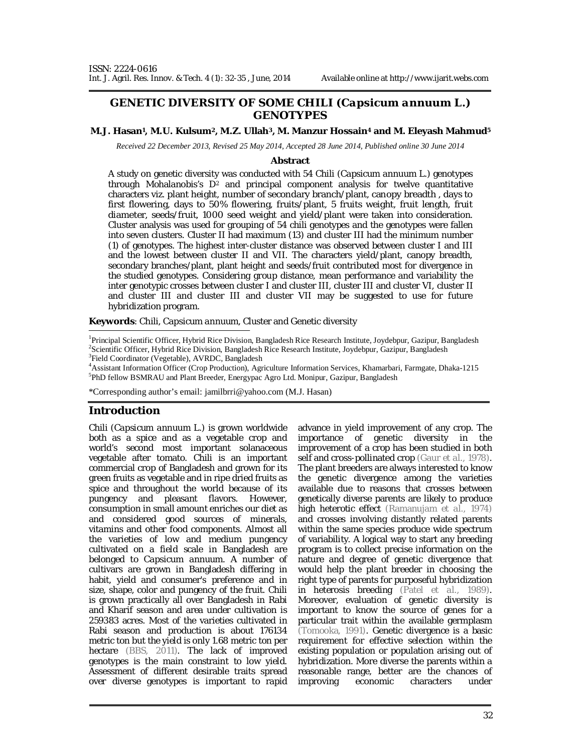## **GENETIC DIVERSITY OF SOME CHILI (***Capsicum annuum* **L.) GENOTYPES**

#### **M.J. Hasan1, M.U. Kulsum2, M.Z. Ullah3, M. Manzur Hossain<sup>4</sup> and M. Eleyash Mahmud<sup>5</sup>**

*Received 22 December 2013, Revised 25 May 2014, Accepted 28 June 2014, Published online 30 June 2014* 

#### **Abstract**

A study on genetic diversity was conducted with 54 Chili (*Capsicum annuum* L.) genotypes through Mohalanobis's  $D^2$  and principal component analysis for twelve quantitative characters viz. plant height, number of secondary branch/plant, canopy breadth , days to first flowering, days to 50% flowering, fruits/plant, 5 fruits weight, fruit length, fruit diameter, seeds/fruit, 1000 seed weight and yield/plant were taken into consideration. Cluster analysis was used for grouping of 54 chili genotypes and the genotypes were fallen into seven clusters. Cluster II had maximum (13) and cluster III had the minimum number (1) of genotypes. The highest inter-cluster distance was observed between cluster I and III and the lowest between cluster II and VII. The characters yield/plant, canopy breadth, secondary branches/plant, plant height and seeds/fruit contributed most for divergence in the studied genotypes. Considering group distance, mean performance and variability the inter genotypic crosses between cluster I and cluster III, cluster III and cluster VI, cluster II and cluster III and cluster III and cluster VII may be suggested to use for future hybridization program.

**Keywords**: Chili, *Capsicum annuum*, Cluster and Genetic diversity

<sup>1</sup>Principal Scientific Officer, Hybrid Rice Division, Bangladesh Rice Research Institute, Joydebpur, Gazipur, Bangladesh 2 Scientific Officer, Hybrid Rice Division, Bangladesh Rice Research Institute, Joydebpur, Gazipur, Bangladesh <sup>3</sup>Field Coordinator (Vegetable), AVRDC, Bangladesh

<sup>4</sup>Assistant Information Officer (Crop Production), Agriculture Information Services, Khamarbari, Farmgate, Dhaka-1215 <sup>5</sup>PhD fellow BSMRAU and Plant Breeder, Energypac Agro Ltd. Monipur, Gazipur, Bangladesh

\*Corresponding author's email: jamilbrri@yahoo.com (M.J. Hasan)

## **Introduction**

Chili (*Capsicum annuum* L.) is grown worldwide both as a spice and as a vegetable crop and world's second most important solanaceous vegetable after tomato. Chili is an important commercial crop of Bangladesh and grown for its green fruits as vegetable and in ripe dried fruits as spice and throughout the world because of its pungency and pleasant flavors. However, consumption in small amount enriches our diet as and considered good sources of minerals, vitamins and other food components. Almost all the varieties of low and medium pungency cultivated on a field scale in Bangladesh are belonged to *Capsicum annuum*. A number of cultivars are grown in Bangladesh differing in habit, yield and consumer's preference and in size, shape, color and pungency of the fruit. Chili is grown practically all over Bangladesh in Rabi and Kharif season and area under cultivation is 259383 acres. Most of the varieties cultivated in Rabi season and production is about 176134 metric ton but the yield is only 1.68 metric ton per hectare (BBS, 2011). The lack of improved genotypes is the main constraint to low yield. Assessment of different desirable traits spread over diverse genotypes is important to rapid

advance in yield improvement of any crop. The importance of genetic diversity in the improvement of a crop has been studied in both self and cross-pollinated crop (Gaur *et al.,* 1978). The plant breeders are always interested to know the genetic divergence among the varieties available due to reasons that crosses between genetically diverse parents are likely to produce high heterotic effect (Ramanujam *et al.,* 1974) and crosses involving distantly related parents within the same species produce wide spectrum of variability. A logical way to start any breeding program is to collect precise information on the nature and degree of genetic divergence that would help the plant breeder in choosing the right type of parents for purposeful hybridization in heterosis breeding (Patel *et al.,* 1989). Moreover, evaluation of genetic diversity is important to know the source of genes for a particular trait within the available germplasm (Tomooka, 1991). Genetic divergence is a basic requirement for effective selection within the existing population or population arising out of hybridization. More diverse the parents within a reasonable range, better are the chances of improving economic characters under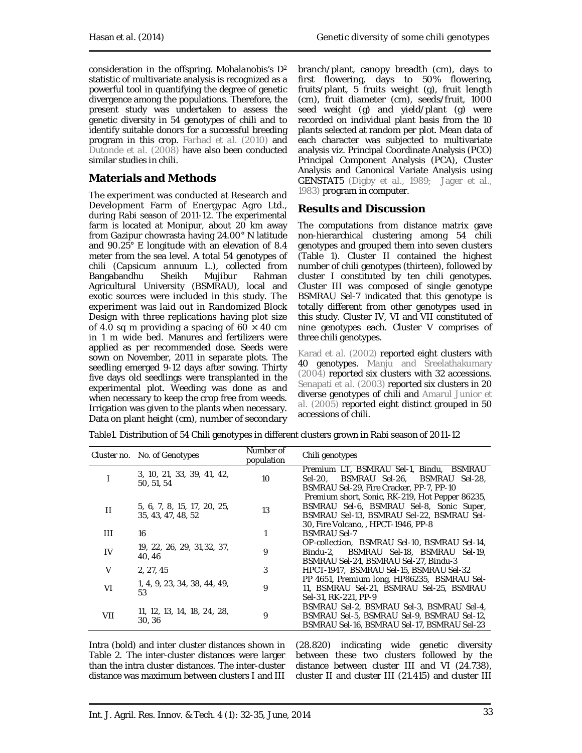consideration in the offspring. Mohalanobis's D<sup>2</sup> statistic of multivariate analysis is recognized as a powerful tool in quantifying the degree of genetic divergence among the populations. Therefore, the present study was undertaken to assess the genetic diversity in 54 genotypes of chili and to identify suitable donors for a successful breeding program in this crop. Farhad *et al.* (2010) and Dutonde *et al.* (2008) have also been conducted similar studies in chili.

# **Materials and Methods**

The experiment was conducted at Research and Development Farm of Energypac Agro Ltd., during Rabi season of 2011-12. The experimental farm is located at Monipur, about 20 km away from Gazipur chowrasta having 24.00° N latitude and 90.25° E longitude with an elevation of 8.4 meter from the sea level. A total 54 genotypes of chili (*Capsicum annuum* L.), collected from Bangabandhu Sheikh Mujibur Rahman Agricultural University (BSMRAU), local and exotic sources were included in this study. The experiment was laid out in Randomized Block Design with three replications having plot size of 4.0 sq m providing a spacing of  $60 \times 40$  cm in 1 m wide bed. Manures and fertilizers were applied as per recommended dose. Seeds were sown on November, 2011 in separate plots. The seedling emerged 9-12 days after sowing. Thirty five days old seedlings were transplanted in the experimental plot. Weeding was done as and when necessary to keep the crop free from weeds. Irrigation was given to the plants when necessary. Data on plant height (cm), number of secondary

branch/plant, canopy breadth (cm), days to first flowering, days to 50% flowering, fruits/plant, 5 fruits weight (g), fruit length (cm), fruit diameter (cm), seeds/fruit, 1000 seed weight (g) and yield/plant (g) were recorded on individual plant basis from the 10 plants selected at random per plot. Mean data of each character was subjected to multivariate analysis viz. Principal Coordinate Analysis (PCO) Principal Component Analysis (PCA), Cluster Analysis and Canonical Variate Analysis using GENSTAT5 (Digby *et al.,* 1989; Jager *et al.,* 1983) program in computer.

## **Results and Discussion**

The computations from distance matrix gave non-hierarchical clustering among 54 chili genotypes and grouped them into seven clusters (Table 1). Cluster II contained the highest number of chili genotypes (thirteen), followed by cluster I constituted by ten chili genotypes. Cluster III was composed of single genotype BSMRAU Sel-7 indicated that this genotype is totally different from other genotypes used in this study. Cluster IV, VI and VII constituted of nine genotypes each. Cluster V comprises of three chili genotypes.

Karad *et al.* (2002) reported eight clusters with 40 genotypes. Manju and Sreelathakumary (2004) reported six clusters with 32 accessions. Senapati *et al.* (2003) reported six clusters in 20 diverse genotypes of chili and Amarul Junior *et al.* (2005) reported eight distinct grouped in 50 accessions of chili.

|              | Cluster no. No. of Genotypes                      | Number of<br>population | Chili genotypes                                                                                                                                                                 |
|--------------|---------------------------------------------------|-------------------------|---------------------------------------------------------------------------------------------------------------------------------------------------------------------------------|
|              | 3, 10, 21, 33, 39, 41, 42,<br>50, 51, 54          | 10                      | Premium LT, BSMRAU Sel-1, Bindu, BSMRAU<br>BSMRAU Sel-26, BSMRAU Sel-28,<br>Sel-20.<br>BSMRAU Sel-29, Fire Cracker, PP-7, PP-10                                                 |
| п            | 5, 6, 7, 8, 15, 17, 20, 25,<br>35, 43, 47, 48, 52 | 13                      | Premium short, Sonic, RK-219, Hot Pepper 86235,<br>BSMRAU Sel-6, BSMRAU Sel-8, Sonic Super,<br>BSMRAU Sel-13, BSMRAU Sel-22, BSMRAU Sel-<br>30, Fire Volcano, , HPCT-1946, PP-8 |
| $\mathbf{H}$ | 16                                                |                         | <b>BSMRAU Sel-7</b>                                                                                                                                                             |
| IV           | 19, 22, 26, 29, 31, 32, 37,<br>40, 46             | 9                       | OP-collection, BSMRAU Sel-10, BSMRAU Sel-14,<br>BSMRAU Sel-18, BSMRAU Sel-19,<br>Bindu-2.<br>BSMRAU Sel-24, BSMRAU Sel-27, Bindu-3                                              |
| $\vee$       | 2, 27, 45                                         | 3                       | HPCT-1947, BSMRAU Sel-15, BSMRAU Sel-32                                                                                                                                         |
| VI           | 1, 4, 9, 23, 34, 38, 44, 49,<br>53                | 9                       | PP 4651, Premium Iong, HP86235, BSMRAU Sel-<br>11, BSMRAU Sel-21, BSMRAU Sel-25, BSMRAU<br>Sel-31, RK-221, PP-9                                                                 |
| VII          | 11, 12, 13, 14, 18, 24, 28,<br>30, 36             | 9                       | BSMRAU Sel-2, BSMRAU Sel-3, BSMRAU Sel-4,<br>BSMRAU Sel-5, BSMRAU Sel-9, BSMRAU Sel-12,<br>BSMRAU Sel-16, BSMRAU Sel-17, BSMRAU Sel-23                                          |

Table1. Distribution of 54 Chili genotypes in different clusters grown in Rabi season of 2011-12

Intra (bold) and inter cluster distances shown in Table 2. The inter-cluster distances were larger than the intra cluster distances. The inter-cluster distance was maximum between clusters I and III

(28.820) indicating wide genetic diversity between these two clusters followed by the distance between cluster III and VI (24.738), cluster II and cluster III (21.415) and cluster III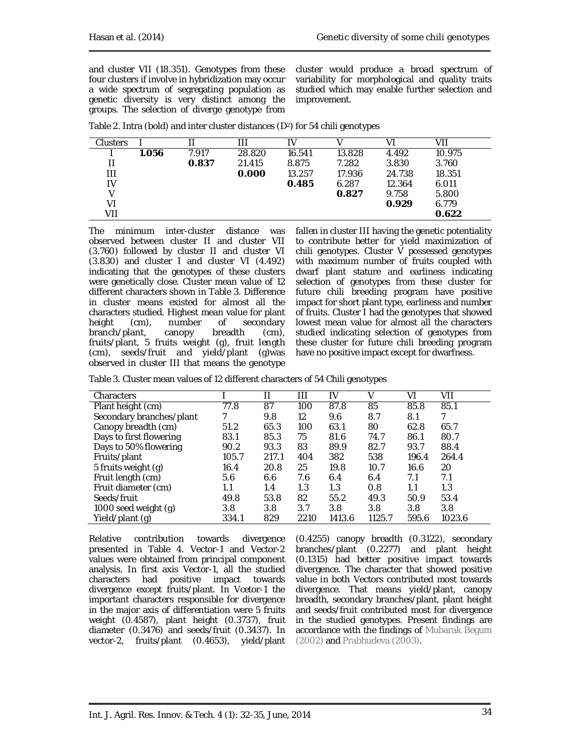and cluster VII (18.351). Genotypes from these four clusters if involve in hybridization may occur a wide spectrum of segregating population as genetic diversity is very distinct among the groups. The selection of diverge genotype from cluster would produce a broad spectrum of variability for morphological and quality traits studied which may enable further selection and improvement.

| <b>Clusters</b> |       |       | ПI     | IV     |        | V١     | VII    |  |
|-----------------|-------|-------|--------|--------|--------|--------|--------|--|
|                 | 1.056 | 7.917 | 28.820 | 16.541 | 13.828 | 4.492  | 10.975 |  |
|                 |       | 0.837 | 21.415 | 8.875  | 7.282  | 3.830  | 3.760  |  |
| Ш               |       |       | 0.000  | 13.257 | 17.936 | 24.738 | 18.351 |  |
| IV              |       |       |        | 0.485  | 6.287  | 12.364 | 6.011  |  |
|                 |       |       |        |        | 0.827  | 9.758  | 5.800  |  |
| V١              |       |       |        |        |        | 0.929  | 6.779  |  |
| VII             |       |       |        |        |        |        | 0.622  |  |

Table 2. Intra (bold) and inter cluster distances (D<sup>2</sup>) for 54 chili genotypes

The minimum inter-cluster distance was observed between cluster II and cluster VII (3.760) followed by cluster II and cluster VI (3.830) and cluster I and cluster VI (4.492) indicating that the genotypes of these clusters were genetically close. Cluster mean value of 12 different characters shown in Table 3. Difference in cluster means existed for almost all the characters studied. Highest mean value for plant<br>height (cm), number of secondary secondary branch/plant, canopy breadth (cm), fruits/plant, 5 fruits weight (g), fruit length (cm), seeds/fruit and yield/plant (g)was observed in cluster III that means the genotype

fallen in cluster III having the genetic potentiality to contribute better for yield maximization of chili genotypes. Cluster  $\check{V}$  possessed genotypes with maximum number of fruits coupled with dwarf plant stature and earliness indicating selection of genotypes from these cluster for future chili breeding program have positive impact for short plant type, earliness and number of fruits. Cluster I had the genotypes that showed lowest mean value for almost all the characters studied indicating selection of genotypes from these cluster for future chili breeding program have no positive impact except for dwarfness.

|  | Table 3. Cluster mean values of 12 different characters of 54 Chili genotypes |  |  |  |  |  |  |
|--|-------------------------------------------------------------------------------|--|--|--|--|--|--|
|--|-------------------------------------------------------------------------------|--|--|--|--|--|--|

| Characters               |       |       | Ш    | IV     | V      | VI    | VII    |
|--------------------------|-------|-------|------|--------|--------|-------|--------|
| Plant height (cm)        | 77.8  | 87    | 100  | 87.8   | 85     | 85.8  | 85.1   |
| Secondary branches/plant |       | 9.8   | 12   | 9.6    | 8.7    | 8.1   |        |
| Canopy breadth (cm)      | 51.2  | 65.3  | 100  | 63.1   | 80     | 62.8  | 65.7   |
| Days to first flowering  | 83.1  | 85.3  | 75   | 81.6   | 74.7   | 86.1  | 80.7   |
| Days to 50% flowering    | 90.2  | 93.3  | 83   | 89.9   | 82.7   | 93.7  | 88.4   |
| Fruits/plant             | 105.7 | 217.1 | 404  | 382    | 538    | 196.4 | 264.4  |
| 5 fruits weight (g)      | 16.4  | 20.8  | 25   | 19.8   | 10.7   | 16.6  | 20     |
| Fruit length (cm)        | 5.6   | 6.6   | 7.6  | 6.4    | 6.4    | 7.1   | 7.1    |
| Fruit diameter (cm)      | 1.1   | 1.4   | 1.3  | 1.3    | 0.8    | 1.1   | 1.3    |
| Seeds/fruit              | 49.8  | 53.8  | 82   | 55.2   | 49.3   | 50.9  | 53.4   |
| 1000 seed weight (g)     | 3.8   | 3.8   | 3.7  | 3.8    | 3.8    | 3.8   | 3.8    |
| Yield/plant (g)          | 334.1 | 829   | 2210 | 1413.6 | 1125.7 | 595.6 | 1023.6 |
|                          |       |       |      |        |        |       |        |

Relative contribution towards divergence presented in Table 4. Vector-1 and Vector-2 values were obtained from principal component analysis. In first axis Vector-1, all the studied characters had positive impact towards divergence except fruits/plant. In Vcetor-1 the important characters responsible for divergence in the major axis of differentiation were 5 fruits weight (0.4587), plant height (0.3737), fruit diameter (0.3476) and seeds/fruit (0.3437). In vector-2, fruits/plant (0.4653), yield/plant

(0.4255) canopy breadth (0.3122), secondary branches/plant (0.2277) and plant height (0.1315) had better positive impact towards divergence. The character that showed positive value in both Vectors contributed most towards divergence. That means yield/plant, canopy breadth, secondary branches/plant, plant height and seeds/fruit contributed most for divergence in the studied genotypes. Present findings are accordance with the findings of Mubarak Begum (2002) and Prabhudeva (2003).